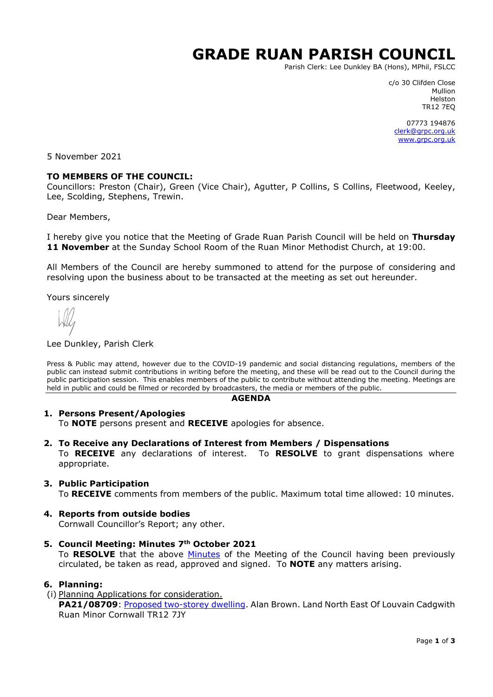# **GRADE RUAN PARISH COUNCIL**

Parish Clerk: Lee Dunkley BA (Hons), MPhil, FSLCC

c/o 30 Clifden Close Mullion Helston TR12 7EQ

07773 194876 [clerk@grpc.org.uk](mailto:clerk@grpc.org.uk) [www.grpc.org.uk](http://www.grpc.org.uk/)

5 November 2021

## **TO MEMBERS OF THE COUNCIL:**

Councillors: Preston (Chair), Green (Vice Chair), Agutter, P Collins, S Collins, Fleetwood, Keeley, Lee, Scolding, Stephens, Trewin.

Dear Members,

I hereby give you notice that the Meeting of Grade Ruan Parish Council will be held on **Thursday 11 November** at the Sunday School Room of the Ruan Minor Methodist Church, at 19:00.

All Members of the Council are hereby summoned to attend for the purpose of considering and resolving upon the business about to be transacted at the meeting as set out hereunder.

Yours sincerely

#### Lee Dunkley, Parish Clerk

Press & Public may attend, however due to the COVID-19 pandemic and social distancing regulations, members of the public can instead submit contributions in writing before the meeting, and these will be read out to the Council during the public participation session. This enables members of the public to contribute without attending the meeting. Meetings are held in public and could be filmed or recorded by broadcasters, the media or members of the public.

#### **AGENDA**

## **1. Persons Present/Apologies**

To **NOTE** persons present and **RECEIVE** apologies for absence.

**2. To Receive any Declarations of Interest from Members / Dispensations**

To **RECEIVE** any declarations of interest. To **RESOLVE** to grant dispensations where appropriate.

## **3. Public Participation**

To **RECEIVE** comments from members of the public. Maximum total time allowed: 10 minutes.

## **4. Reports from outside bodies**

Cornwall Councillor's Report; any other.

**5. Council Meeting: Minutes 7th October 2021** To **RESOLVE** that the above [Minutes](https://www.grpc.org.uk/files/1016/3369/9645/Minutes_7_October_2021_DRAFT.pdf) of the Meeting of the Council having been previously circulated, be taken as read, approved and signed. To **NOTE** any matters arising.

#### **6. Planning:**

# (i) Planning Applications for consideration.

**PA21/08709**: [Proposed two-storey dwelling.](https://planning.cornwall.gov.uk/online-applications/applicationDetails.do?activeTab=documents&keyVal=QYFOREFGML500) Alan Brown. Land North East Of Louvain Cadgwith Ruan Minor Cornwall TR12 7JY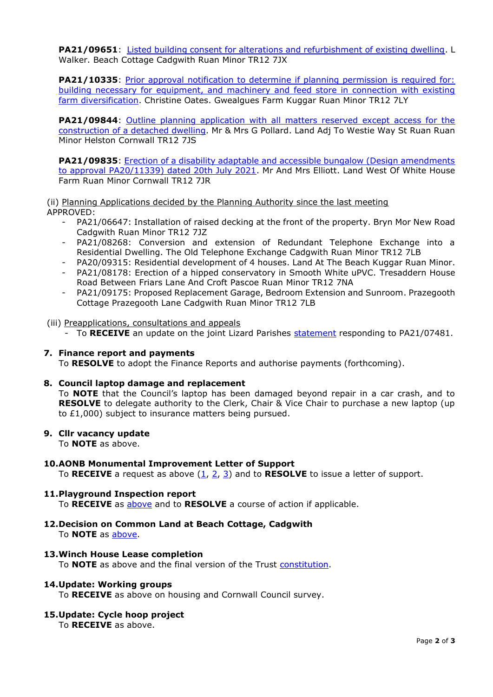**PA21/09651**: [Listed building consent for alterations and refurbishment of existing dwelling.](https://planning.cornwall.gov.uk/online-applications/applicationDetails.do?activeTab=documents&keyVal=QZXP8KFGMSZ00&prevPage=inTray) L Walker. Beach Cottage Cadgwith Ruan Minor TR12 7JX

**PA21/10335**: Prior approval notification to determine if planning permission is required for: [building necessary for equipment, and machinery and feed store in connection with existing](https://planning.cornwall.gov.uk/online-applications/applicationDetails.do?activeTab=documents&keyVal=R0Z4TNFG07U00&prevPage=inTray)  [farm diversification.](https://planning.cornwall.gov.uk/online-applications/applicationDetails.do?activeTab=documents&keyVal=R0Z4TNFG07U00&prevPage=inTray) Christine Oates. Gwealgues Farm Kuggar Ruan Minor TR12 7LY

**PA21/09844:** Outline planning application with all matters reserved except access for the [construction of a detached dwelling.](https://planning.cornwall.gov.uk/online-applications/applicationDetails.do?activeTab=documents&keyVal=R08NPLFGLMK00&prevPage=inTray) Mr & Mrs G Pollard. Land Adj To Westie Way St Ruan Ruan Minor Helston Cornwall TR12 7JS

**PA21/09835:** Erection of a disability adaptable and accessible bungalow (Design amendments [to approval PA20/11339\) dated 20th July 2021.](https://planning.cornwall.gov.uk/online-applications/applicationDetails.do?activeTab=documents&keyVal=R07CLMFGKVJ00) Mr And Mrs Elliott. Land West Of White House Farm Ruan Minor Cornwall TR12 7JR

(ii) Planning Applications decided by the Planning Authority since the last meeting APPROVED:

- PA21/06647: Installation of raised decking at the front of the property. Bryn Mor New Road Cadgwith Ruan Minor TR12 7JZ
- PA21/08268: Conversion and extension of Redundant Telephone Exchange into a Residential Dwelling. The Old Telephone Exchange Cadgwith Ruan Minor TR12 7LB
- PA20/09315: Residential development of 4 houses. Land At The Beach Kuggar Ruan Minor.
- PA21/08178: Erection of a hipped conservatory in Smooth White uPVC. Tresaddern House Road Between Friars Lane And Croft Pascoe Ruan Minor TR12 7NA
- PA21/09175: Proposed Replacement Garage, Bedroom Extension and Sunroom. Prazegooth Cottage Prazegooth Lane Cadgwith Ruan Minor TR12 7LB

(iii) Preapplications, consultations and appeals

- To **RECEIVE** an update on the joint Lizard Parishes [statement](https://www.grpc.org.uk/files/7816/3308/1731/PA21-07481_Joint_response_DRAFT.pdf) responding to PA21/07481.

## **7. Finance report and payments**

To **RESOLVE** to adopt the Finance Reports and authorise payments (forthcoming).

## **8. Council laptop damage and replacement**

To **NOTE** that the Council's laptop has been damaged beyond repair in a car crash, and to **RESOLVE** to delegate authority to the Clerk, Chair & Vice Chair to purchase a new laptop (up to £1,000) subject to insurance matters being pursued.

## **9. Cllr vacancy update**

To **NOTE** as above.

## **10.AONB Monumental Improvement Letter of Support**

To **RECEIVE** a request as above [\(1,](https://www.grpc.org.uk/files/4416/3612/9435/Item_10_-_AONB_Monument_correspondence.pdf) [2,](https://www.grpc.org.uk/files/2916/3612/9483/Item_10_-_Monumental_Improvement_Project_Overview.pdf) [3\)](https://www.grpc.org.uk/files/2516/3612/9521/Item_10_-_AONB_Parish_Council_Letter_of_Support.pdf) and to **RESOLVE** to issue a letter of support.

## **11.Playground Inspection report**

To **RECEIVE** as [above](https://www.grpc.org.uk/files/2016/3612/9870/Item_11_-_Playground_Inspection_October_2021.pdf) and to **RESOLVE** a course of action if applicable.

**12.Decision on Common Land at Beach Cottage, Cadgwith** To **NOTE** as [above.](https://www.grpc.org.uk/files/9916/3612/9990/Item_12_-_Decision_3003_Beach_Cottage_Cadgwith.pdf)

## **13.Winch House Lease completion**

To **NOTE** as above and the final version of the Trust [constitution.](https://www.grpc.org.uk/files/3816/3613/0205/Item_13_-_Cadgwith_Fishing_Cove_Trust_CIO_-_04_Aug_2021.pdf)

## **14.Update: Working groups**

To **RECEIVE** as above on housing and Cornwall Council survey.

## **15.Update: Cycle hoop project**

To **RECEIVE** as above.